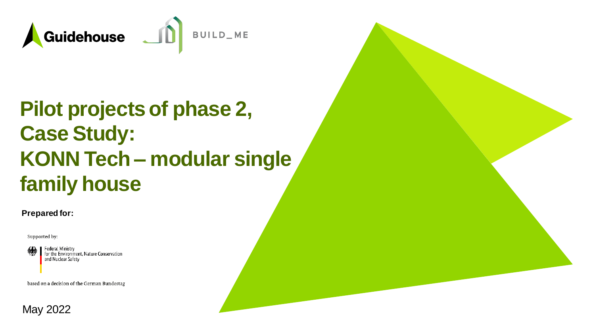

# **Pilot projects of phase 2, Case Study: KONN Tech – modular single family house**

#### **Prepared for:**

Supported by:



Federal Ministry for the Environment, Nature Conservation and Nuclear Safety

based on a decision of the German Bundestag

#### May 2022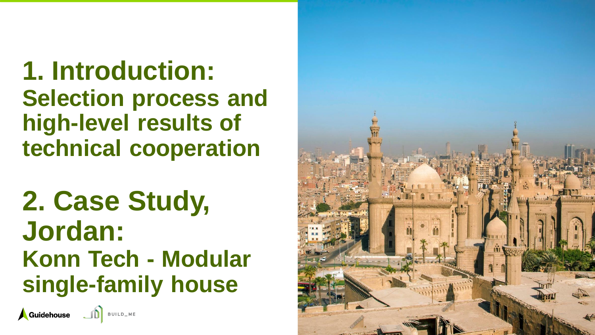**1. Introduction: Selection process and high -level results of technical cooperation**

**2. Case Study, Jordan: Konn Tech - Modular single -family house**



BUILD\_ME

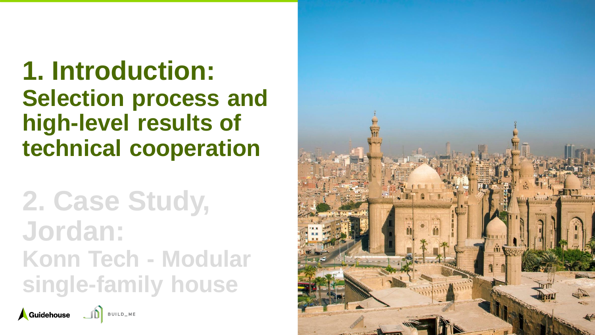**1. Introduction: Selection process and high -level results of technical cooperation**

**2. Case Study, Jordan: Konn Tech - Modular single -family house**



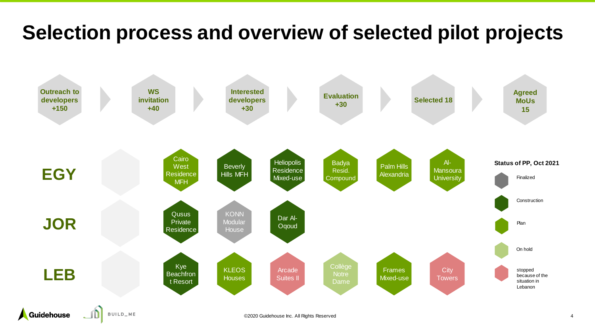### **Selection process and overview of selected pilot projects**

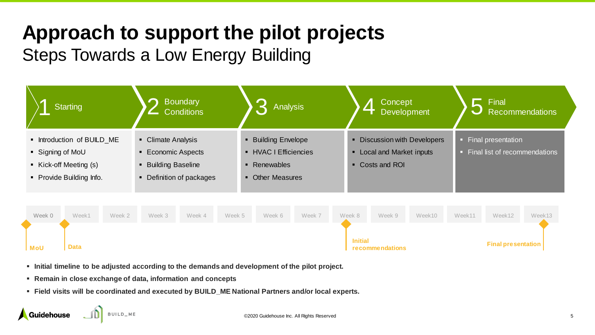# **Approach to support the pilot projects**

#### Steps Towards a Low Energy Building



- **Initial timeline to be adjusted according to the demands and development of the pilot project.**
- **Remain in close exchange of data, information and concepts**
- **Eield visits will be coordinated and executed by BUILD ME National Partners and/or local experts.**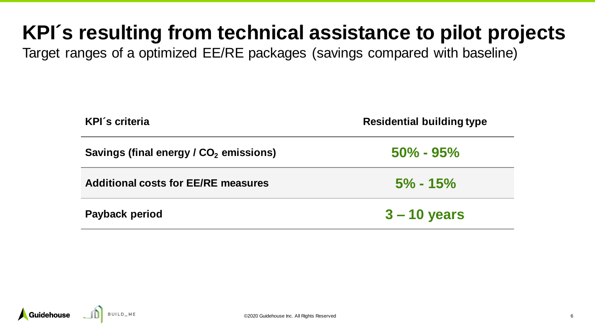## **KPI´s resulting from technical assistance to pilot projects**

Target ranges of a optimized EE/RE packages (savings compared with baseline)

| <b>KPI's criteria</b>                              | <b>Residential building type</b> |
|----------------------------------------------------|----------------------------------|
| Savings (final energy / CO <sub>2</sub> emissions) | $50\% - 95\%$                    |
| <b>Additional costs for EE/RE measures</b>         | $5\% - 15\%$                     |
| <b>Payback period</b>                              | $3 - 10$ years                   |

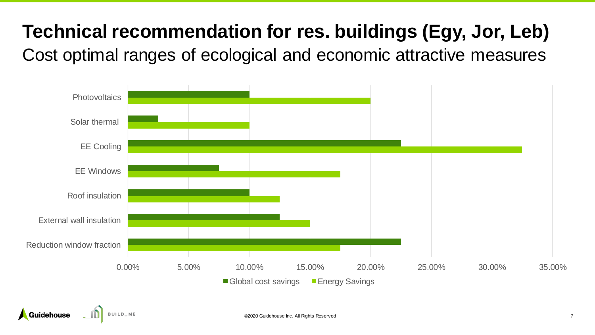### **Technical recommendation for res. buildings (Egy, Jor, Leb)**

Cost optimal ranges of ecological and economic attractive measures

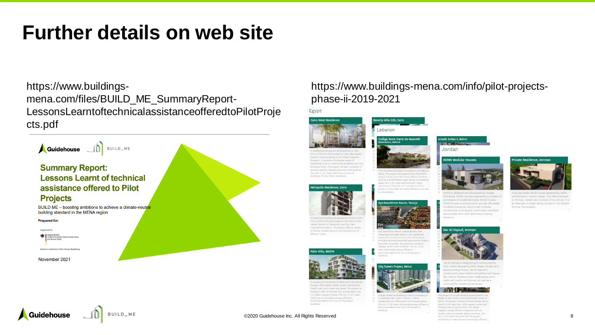### **Further details on web site**

https://www.buildingsmena.com/files/BUILD\_ME\_SummaryReport-LessonsLearntoftechnicalassistanceofferedtoPilotProje cts.pdf



BUILD\_ME

Guidehouse

#### https://www.buildings-mena.com/info/pilot-projectsphase-ii-2019-2021

Beverly Hills 228, Cairo Lebanon

ollège Notre Dame de Nazareth

lebut. The project will expand more than 10300

attention & Antinera, Mille Consultant of the

report, to formulate an energy efficiency co-

Kve Beachfront Resort, Tabari

Are lear Horri August is develop-

art will projetly erarpy efficiency

ity Towers Project, Beirut

prome datase for one of the project

eds, officers will communicated at

the 300-31 Milliam will provide anany efficiency

streament with lane was addressed a series

tuperties and tlash Marria. It is a vesidenti-

and that require of more than 36 habitant the first teaching of manipularity appartments. (Follo) other amention. The project is higgingly arts, 28 km month of demut, the statute is

cars restars and sell trainde different factious och as a smotifheder, open plane, and parkin as 410 0. Mil board will work with Flerry

Egypt



DOULNI' and forcesed on Calve Alan those load in close prostroly to the Grand Upprise Moreon, it consists of a disense range of and interest continues we would a function to choose specificant briatique botal. The project will also response p seated carefully duest surcesse and facilities the 2010 to the countries former one of lackdraw of Cater West Standards



COVIDATS and located in the heart of the shourn shatran of stalageside your the Came-Hamatimal Argent. The project offers a variety of offices, numbertial and commental critic of dillowed terms



houses, offers parks, retail, britals, solicisticmal builde cam and reason use away. The project in turated in 6th of Crissber City and spreads men 12 million equato mattee. The SULS\_Wi-hours will know on providing among officiancy incommendatoric for one of the project

#### incluires.

#### ©2020 Guidehouse Inc. All Rights Reserved 8



ACTAN is charactered and developed by Orange. Andrésiche ACOVA compagni representata matribus alentritypes of needer tal single-lamily bounes CNN house is envisioned to provide affordable. resolution fraction of the state of arrests matchesprattucker to emprove community mambers and provide them with alternative housing

#### Dar Al-Oqoud, Ammar

and a structure.

Ircade Suites II, Beirut **TEXT ISSUED** 

KONN Modular Houses

Jordan



by 41-Decept in chestmast and constitutively And Maher Abussemes (WAS George Study) as a mentos serangi Format. Dan AG Deposit in prettyried pains traditorial building bertropic ble slans; Madiameter lockearing stonic walls with yards; and durner, an well as a puttered for resolution pursu-



this present as a multi-herole human located allage of Jack, which is thirty kit lieny. The project consists of three blocks trical disk of mesu than 4,000 square mattes are houring under of computerious. The deepth supports sturgy affected managers such

A proustat artista durech housing of arrittenture + reaster thange. The others housted in Amman, Jordan and sunsists of two floors. It is an usample of single-family houses in the Greater Artifican Mura-textili

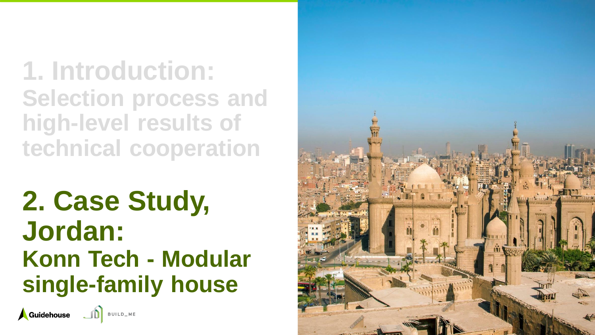**1. Introduction: Selection process and high -level results of technical cooperation**

**2. Case Study, Jordan: Konn Tech - Modular single -family house**

Guidehouse JD BUILD\_ME